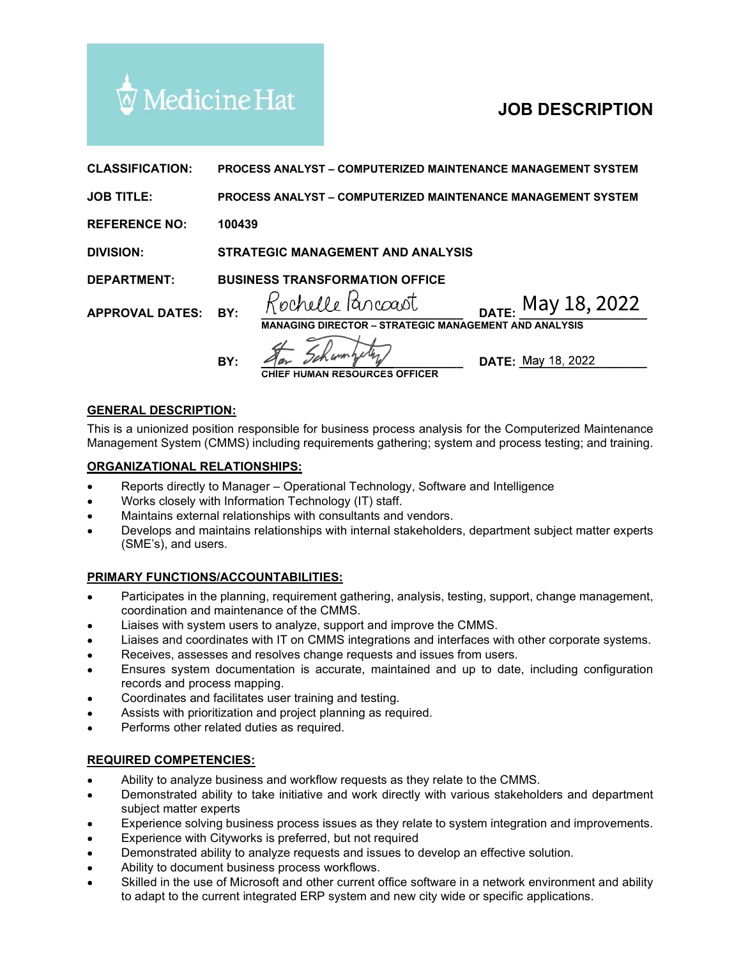

|                                                                                  | ' Medicine Hat                                                                                                                                                        | <b>JOB DESCRIPTION</b>                                                                                                                                                                                                                                                                                                                                    |
|----------------------------------------------------------------------------------|-----------------------------------------------------------------------------------------------------------------------------------------------------------------------|-----------------------------------------------------------------------------------------------------------------------------------------------------------------------------------------------------------------------------------------------------------------------------------------------------------------------------------------------------------|
| <b>CLASSIFICATION:</b>                                                           |                                                                                                                                                                       | <b>PROCESS ANALYST – COMPUTERIZED MAINTENANCE MANAGEMENT SYSTEM</b>                                                                                                                                                                                                                                                                                       |
| <b>JOB TITLE:</b>                                                                |                                                                                                                                                                       | <b>PROCESS ANALYST - COMPUTERIZED MAINTENANCE MANAGEMENT SYSTEM</b>                                                                                                                                                                                                                                                                                       |
| <b>REFERENCE NO:</b>                                                             | 100439                                                                                                                                                                |                                                                                                                                                                                                                                                                                                                                                           |
| <b>DIVISION:</b>                                                                 | <b>STRATEGIC MANAGEMENT AND ANALYSIS</b>                                                                                                                              |                                                                                                                                                                                                                                                                                                                                                           |
| <b>DEPARTMENT:</b>                                                               |                                                                                                                                                                       | <b>BUSINESS TRANSFORMATION OFFICE</b>                                                                                                                                                                                                                                                                                                                     |
| <b>APPROVAL DATES:</b>                                                           | BY:                                                                                                                                                                   | Rochelle Parcoast<br>DATE: May 18, 2022<br><b>MANAGING DIRECTOR - STRATEGIC MANAGEMENT AND ANALYSIS</b>                                                                                                                                                                                                                                                   |
|                                                                                  | BY:                                                                                                                                                                   | <b>DATE: May 18, 2022</b><br><b>AN RESOURCES OFFICER</b>                                                                                                                                                                                                                                                                                                  |
| <b>GENERAL DESCRIPTION:</b>                                                      |                                                                                                                                                                       |                                                                                                                                                                                                                                                                                                                                                           |
|                                                                                  |                                                                                                                                                                       | This is a unionized position responsible for business process analysis for the Computerized Maintenance<br>Management System (CMMS) including requirements gathering; system and process testing; and training.                                                                                                                                           |
| <b>ORGANIZATIONAL RELATIONSHIPS:</b>                                             |                                                                                                                                                                       |                                                                                                                                                                                                                                                                                                                                                           |
| $\bullet$<br>$\bullet$<br>٠<br>$\bullet$<br>(SME's), and users.                  | Works closely with Information Technology (IT) staff.                                                                                                                 | Reports directly to Manager - Operational Technology, Software and Intelligence<br>Maintains external relationships with consultants and vendors.<br>Develops and maintains relationships with internal stakeholders, department subject matter experts                                                                                                   |
| PRIMARY FUNCTIONS/ACCOUNTABILITIES:                                              |                                                                                                                                                                       |                                                                                                                                                                                                                                                                                                                                                           |
| $\bullet$<br>٠<br>$\bullet$<br>$\bullet$                                         | coordination and maintenance of the CMMS.                                                                                                                             | Participates in the planning, requirement gathering, analysis, testing, support, change management,<br>Liaises with system users to analyze, support and improve the CMMS.<br>Liaises and coordinates with IT on CMMS integrations and interfaces with other corporate systems.<br>Receives, assesses and resolves change requests and issues from users. |
| $\bullet$<br>records and process mapping.<br>$\bullet$<br>$\bullet$<br>$\bullet$ | Coordinates and facilitates user training and testing.<br>Assists with prioritization and project planning as required.<br>Performs other related duties as required. | Ensures system documentation is accurate, maintained and up to date, including configuration                                                                                                                                                                                                                                                              |

# GENERAL DESCRIPTION:

#### ORGANIZATIONAL RELATIONSHIPS:

- Reports directly to Manager Operational Technology, Software and Intelligence
- 
- Maintains external relationships with consultants and vendors.
- Develops and maintains relationships with internal stakeholders, department subject matter experts

### PRIMARY FUNCTIONS/ACCOUNTABILITIES:

- $\bullet$ Participates in the planning, requirement gathering, analysis, testing, support, change management,
- 
- Liaises and coordinates with IT on CMMS integrations and interfaces with other corporate systems.
- 
- Ensures system documentation is accurate, maintained and up to date, including configuration records and process mapping. **MIZATIONAL RELATIONSHIPS:**<br>Neports directly to Manager – Operational Technology, Software and Intelligence<br>Works closely with information Technology (IT) staff.<br>Marinains external relationships with consultants and wendor Reports directly to Manager - Operational Technology, Software and Intelligence<br>Reports directly to Morinathon Technology (IT) staff.<br>
Maintains external relationships with consultants and vendors.<br>
Dewelops and maintains Maintiains external relationships with consultants and vendors,<br>
Develops and maintains relationships with internal stakeholders, department subject matter experts<br>
CSME's), and users.<br> **ARY FUNCTIONS/ACCOUNTABILITIES:**<br> (SME's), and users.<br> **RRY FUNCTIONS/ACCOUNTABILITIES:**<br>
Participlates in the planning, requirement gathering, analysis, testing, support, change management,<br>
Participlates in the planning, requirement gathering, analysis,
- Coordinates and facilitates user training and testing.
- Assists with prioritization and project planning as required.
- Performs other related duties as required.

### REQUIRED COMPETENCIES:

- 
- $\bullet$ subject matter experts
- 
- Experience with Cityworks is preferred, but not required
- 
- Ability to document business process workflows.
- Skilled in the use of Microsoft and other current office software in a network environment and ability to adapt to the current integrated ERP system and new city wide or specific applications.